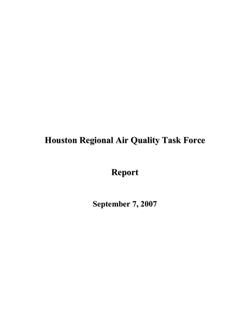# **Houston Regional Air Quality Task Force**

**Report** 

**September 7, 2007**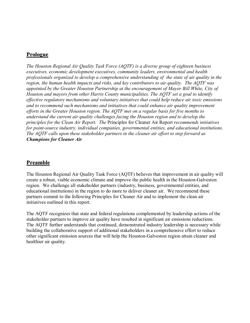# **Prologue**

*The Houston Regional Air Quality Task Force (AQTF) is a diverse group of eighteen business executives, economic development executives, community leaders, environmental and health professionals organized to develop a comprehensive understanding of the state of air quality in the region, the human health impacts and risks, and key contributors to air quality. The AQTF was appointed by the Greater Houston Partnership at the encouragement of Mayor Bill White, City of Houston and mayors from other Harris County municipalities. The AQTF set a goal to identify effective regulatory mechanisms and voluntary initiatives that could help reduce air toxic emissions and to recommend such mechanisms and initiatives that could enhance air quality improvement efforts in the Greater Houston region. The AQTF met on a regular basis for five months to understand the current air quality challenges facing the Houston region and to develop the principles for the Clean Air Report. The* Principles for Cleaner Air Report *recommends initiatives for point-source industry, individual companies, governmental entities, and educational institutions. The AQTF calls upon these stakeholder partners in the cleaner air effort to step forward as Champions for Cleaner Air.*

# **Preamble**

The Houston Regional Air Quality Task Force (AQTF) believes that improvement in air quality will create a robust, viable economic climate and improve the public health in the Houston-Galveston region. We challenge all stakeholder partners (industry, business, governmental entities, and educational institutions) in the region to do more to deliver cleaner air. We recommend these partners commit to the following Principles for Cleaner Air and to implement the clean air initiatives outlined in this report.

The AQTF recognizes that state and federal regulations complemented by leadership actions of the stakeholder partners to improve air quality have resulted in significant air emissions reductions. The AQTF further understands that continued, demonstrated industry leadership is necessary while building the collaborative support of additional stakeholders in a comprehensive effort to reduce other significant emission sources that will help the Houston-Galveston region attain cleaner and healthier air quality.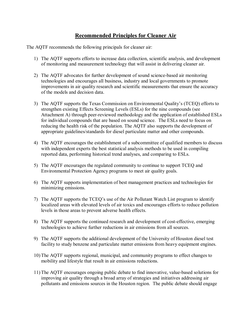# **Recommended Principles for Cleaner Air**

The AQTF recommends the following principals for cleaner air:

- 1) The AQTF supports efforts to increase data collection, scientific analysis, and development of monitoring and measurement technology that will assist in delivering cleaner air.
- 2) The AQTF advocates for further development of sound science-based air monitoring technologies and encourages all business, industry and local governments to promote improvements in air quality research and scientific measurements that ensure the accuracy of the models and decision data.
- 3) The AQTF supports the Texas Commission on Environmental Quality's (TCEQ) efforts to strengthen existing Effects Screening Levels (ESLs) for the nine compounds (see Attachment A) through peer-reviewed methodology and the application of established ESLs for individual compounds that are based on sound science. The ESLs need to focus on reducing the health risk of the population. The AQTF also supports the development of appropriate guidelines/standards for diesel particulate matter and other compounds.
- 4) The AQTF encourages the establishment of a subcommittee of qualified members to discuss with independent experts the best statistical analysis methods to be used in compiling reported data, performing historical trend analyses, and comparing to ESLs.
- 5) The AQTF encourages the regulated community to continue to support TCEQ and Environmental Protection Agency programs to meet air quality goals.
- 6) The AQTF supports implementation of best management practices and technologies for minimizing emissions.
- 7) The AQTF supports the TCEQ's use of the Air Pollutant Watch List program to identify localized areas with elevated levels of air toxics and encourages efforts to reduce pollution levels in those areas to prevent adverse health effects.
- 8) The AQTF supports the continued research and development of costeffective, emerging technologies to achieve further reductions in air emissions from all sources.
- 9) The AQTF supports the additional development of the University of Houston diesel test facility to study benzene and particulate matter emissions from heavy equipment engines.
- 10) The AQTF supports regional, municipal, and community programs to effect changes to mobility and lifestyle that result in air emissions reductions.
- 11) The AQTF encourages ongoing public debate to find innovative, valuebased solutions for improving air quality through a broad array of strategies and initiatives addressing air pollutants and emissions sources in the Houston region. The public debate should engage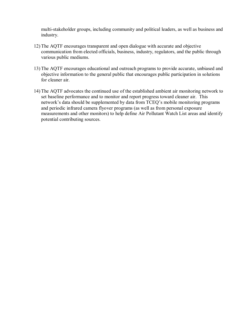multi-stakeholder groups, including community and political leaders, as well as business and industry.

- 12) The AQTF encourages transparent and open dialogue with accurate and objective communication from elected officials, business, industry, regulators, and the public through various public mediums.
- 13) The AQTF encourages educational and outreach programs to provide accurate, unbiased and objective information to the general public that encourages public participation in solutions for cleaner air.
- 14) The AQTF advocates the continued use of the established ambient air monitoring network to set baseline performance and to monitor and report progress toward cleaner air. This network's data should be supplemented by data from TCEQ's mobile monitoring programs and periodic infrared camera flyover programs (as well as from personal exposure measurements and other monitors) to help define Air Pollutant Watch List areas and identify potential contributing sources.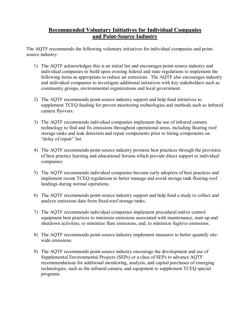# **Recommended Voluntary Initiatives for Individual Companies** and Point-Source Industry

The AQTF recommends the following voluntary initiatives for individual companies and point source industry:

- 1) The AOTF acknowledges this is an initial list and encourages point-source industry and individual companies to build upon existing federal and state regulations to implement the following items as appropriate to reduce air emissions. The AQTF also encourages industry and individual companies to investigate additional initiatives with key stakeholders such as community groups, environmental organizations and local government.
- 2) The AQTF recommends point-source industry support and help fund initiatives to supplement TCEQ funding for proven monitoring technologies and methods such as infrared camera flyovers.
- 3) The AQTF recommends individual companies implement the use of infrared camera technology to find and fix emissions throughout operational areas, including floating roof storage tanks and leak detection and repair components prior to listing components on "delay of repair" list.
- 4) The AQTF recommends point-source industry promote best practices through the provision of best practice learning and educational forums which provide direct support to individual companies.
- 5) The AQTF recommends individual companies become early adopters of best practices and implement recent TCEQ regulations to better manage and avoid storage tank floating roof landings during normal operations.
- 6) The AQTF recommends point-source industry support and help fund a study to collect and analyze emissions data from fixed-roof storage tanks.
- 7) The AQTF recommends individual companies implement procedural and/or control equipment best practices to minimize emissions associated with maintenance, start-up and shutdown activities; to minimize flare emissions; and, to minimize fugitive emissions.
- 8) The AQTF recommends point-source industry implement measures to better quantify sitewide emissions.
- 9) The AQTF recommends point-source industry encourage the development and use of Supplemental Environmental Projects (SEPs) or a class of SEPs to advance AQTF recommendations for additional monitoring, analysis, and capital purchases of emerging technologies, such as the infrared camera, and equipment to supplement TCEQ special programs.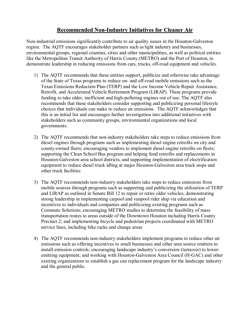# **Recommended Non-Industry Initiatives for Cleaner Air**

Non-industrial emissions significantly contribute to air quality issues in the Houston-Galveston region. The AQTF encourages stakeholder partners such aslight industry and businesses, environmental groups, regional counties, cities and other municipalities, as well as political entities like the Metropolitan Transit Authority of Harris County (METRO) and the Port of Houston, to demonstrate leadership in reducing emissions from cars, trucks, off-road equipment and vehicles.

- 1) The AQTF recommends that these entities support, publicize and otherwise take advantage of the State of Texas programs to reduce on- and off-road mobile emissions such as the Texas Emissions Reduction Plan (TERP) and the Low Income Vehicle Repair Assistance, Retrofit, and Accelerated Vehicle Retirement Program (LIRAP). These programs provide funding to take older, inefficient and high-polluting engines out of use. The AQTF also recommends that these stakeholders consider supporting and publicizing personal lifestyle choices that individuals can make to reduce air emissions. The AQTF acknowledges that this is an initial list and encourages further investigation into additional initiatives with stakeholders such as community groups, environmental organizations and local governments.
- 2) The AOTF recommends that non-industry stakeholders take steps to reduce emissions from diesel engines through programs such as implementing diesel engine retrofits on city and county-owned fleets; encouraging vendors to implement diesel engine retrofits on fleets; supporting the Clean School Bus program and helping fund retrofits and replacements in Houston-Galveston area school districts; and supporting implementation of electrification equipment to reduce diesel truck idling at major Houston-Galveston area truck stops and other truck facilities
- 3) The AQTF recommends non-industry stakeholders take steps to reduce emissions from mobile sources through programs such as supporting and publicizing the utilization of TERP and LIRAP as outlined in Senate Bill 12 to repair or retire older vehicles; demonstrating strong leadership in implementing carpool and vanpool rider ship via education and incentives to individuals and companies and publicizing existing programs such as Commute Solutions; encouraging METRO studies to determine the feasibility of mass transportation routes to areas outside of the Downtown Houston including Harris County Precinct 2; and implementing bicycle and pedestrian projects coordinated with METRO service lines, including bike racks and change areas
- 4) The AQTF recommends non-industry stakeholders implement programs to reduce other air emissions such as offering incentives to small businesses and other area source emitters to install emission controls; encouraging landscape industry's conversion (turnover) to loweremitting equipment; and working with Houston-Galveston Area Council (H-GAC) and other existing organizations to establish a gas can replacement program forthe landscape industry and the general public.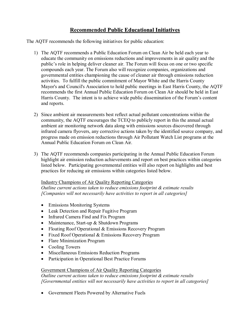# **Recommended Public Educational Initiatives**

The AQTF recommends the following initiatives for public education:

- 1) The AQTF recommends a Public Education Forum on Clean Air be held each year to educate the community on emissions reductions and improvements in air quality and the public's role in helping deliver cleaner air. The Forum will focus on one or two specific compounds each year. The Forum also will recognize companies, organizations and governmental entities championing the cause of cleaner air through emissions reduction activities. To fulfill the public commitment of Mayor White and the Harris County Mayor's and Council's Association to hold public meetings in East Harris County, the AQTF recommends the first Annual Public Education Forum on Clean Air should be held in East Harris County. The intent is to achieve wide public dissemination of the Forum's content and reports.
- 2) Since ambient air measurements best reflect actual pollutant concentrations within the community, the AQTF encourages the TCEQ to publicly report in this the annual actual ambient air monitoring network data along with emissions sources discovered through infrared camera flyovers, any corrective actions taken by the identified source company, and progress made on emission reductions through Air Pollutant Watch List programs at the Annual Public Education Forum on Clean Air.
- 3) The AQTF recommends companies participating in the Annual Public Education Forum highlight air emission reduction achievements and report on best practices within categories listed below. Participating governmental entities will also report on highlights and best practices for reducing air emissions within categories listed below.

#### Industry Champions of Air Quality Reporting Categories

*Outline current actions taken to reduce emissions footprint & estimate results [Companies will not necessarily have activities to report in all categories]*

- Emissions Monitoring Systems
- · Leak Detection and Repair Fugitive Program
- Infrared Camera Find and Fix Program
- Maintenance, Start-up  $& Shutdown$  Programs
- Floating Roof Operational & Emissions Recovery Program
- Fixed Roof Operational & Emissions Recovery Program
- · Flare Minimization Program
- Cooling Towers
- · Miscellaneous Emissions Reduction Programs
- Participation in Operational Best Practice Forums

# Government Champions of Air Quality Reporting Categories

*Outline current actions taken to reduce emissions footprint & estimate results [Governmental entities will not necessarily have activities to report in all categories]*

· Government Fleets Powered by Alternative Fuels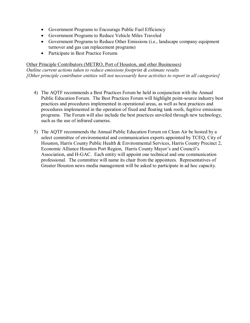- · Government Programs to Encourage Public Fuel Efficiency
- · Government Programs to Reduce Vehicle Miles Traveled
- · Government Programs to Reduce Other Emissions (i.e., landscape company equipment turnover and gas can replacement programs)
- · Participate in Best Practice Forums

Other Principle Contributors (METRO, Port of Houston, and other Businesses) *Outline current actions taken to reduce emissions footprint & estimate results [Other principle contributor entities will not necessarily have activities to report in all categories]*

- 4) The AQTF recommends a Best Practices Forum be held in conjunction with the Annual Public Education Forum. The Best Practices Forum will highlight point-source industry best practices and procedures implemented in operational areas, as well as best practices and procedures implemented in the operation of fixed and floating tank roofs, fugitive emissions programs. The Forum will also include the best practices unveiled through new technology, such as the use of infrared cameras.
- 5) The AQTF recommends the Annual Public Education Forum on Clean Air be hosted by a select committee of environmental and communication experts appointed by TCEQ, City of Houston, Harris County Public Health & Environmental Services, Harris County Precinct 2, Economic Alliance Houston Port Region, Harris County Mayor's and Council's Association, and H-GAC. Each entity will appoint one technical and one communication professional. The committee will name its chair from the appointees. Representatives of Greater Houston news media management will be asked to participate in ad hoc capacity.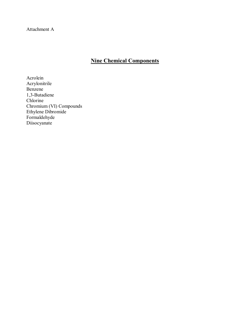Attachment A

# **Nine Chemical Components**

Acrolein Acrylonitrile Benzene 1,3-Butadiene Chlorine Chromium (VI) Compounds Ethylene Dibromide Formaldehyde Diisocyanate